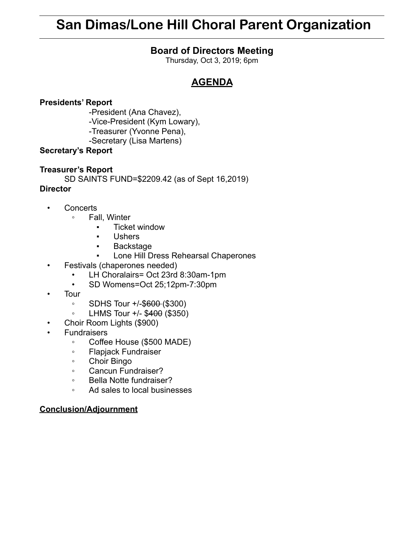# **San Dimas/Lone Hill Choral Parent Organization**

### **Board of Directors Meeting**

Thursday, Oct 3, 2019; 6pm

## **AGENDA**

#### **Presidents' Report**

-President (Ana Chavez), -Vice-President (Kym Lowary), -Treasurer (Yvonne Pena),

-Secretary (Lisa Martens)

#### **Secretary's Report**

#### **Treasurer's Report**

SD SAINTS FUND=\$2209.42 (as of Sept 16,2019)

#### **Director**

- Concerts
	- Fall, Winter
		- Ticket window
		- Ushers
		- Backstage
		- Lone Hill Dress Rehearsal Chaperones
- Festivals (chaperones needed)
	- LH Choralairs= Oct 23rd 8:30am-1pm
	- SD Womens=Oct 25;12pm-7:30pm
- Tour
	- SDHS Tour +/-\$600 (\$300)
	- LHMS Tour +/- \$400 (\$350)
- Choir Room Lights (\$900)
- **Fundraisers** 
	- Coffee House (\$500 MADE)
	- Flapjack Fundraiser
	- Choir Bingo
	- Cancun Fundraiser?
	- Bella Notte fundraiser?
	- Ad sales to local businesses

#### **Conclusion/Adjournment**